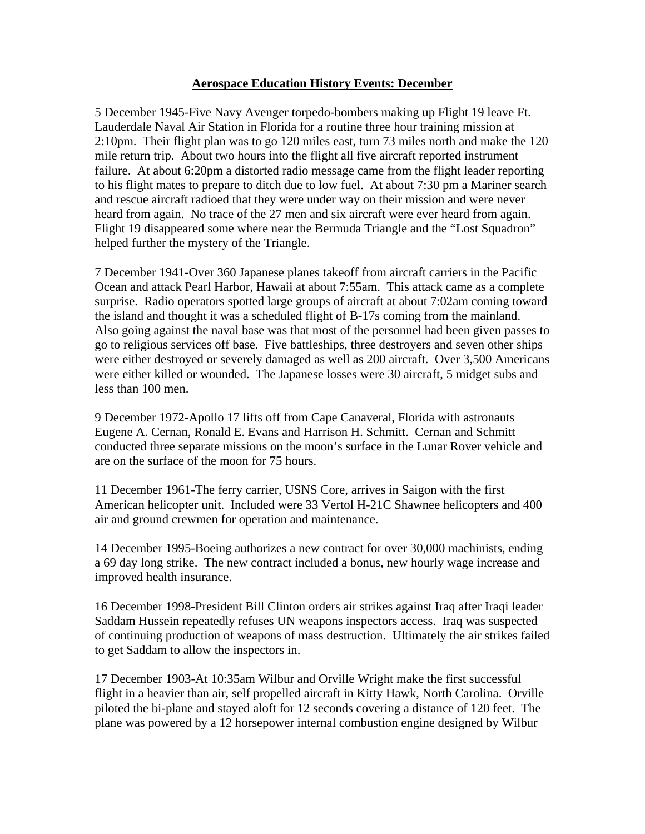## **Aerospace Education History Events: December**

5 December 1945-Five Navy Avenger torpedo-bombers making up Flight 19 leave Ft. Lauderdale Naval Air Station in Florida for a routine three hour training mission at 2:10pm. Their flight plan was to go 120 miles east, turn 73 miles north and make the 120 mile return trip. About two hours into the flight all five aircraft reported instrument failure. At about 6:20pm a distorted radio message came from the flight leader reporting to his flight mates to prepare to ditch due to low fuel. At about 7:30 pm a Mariner search and rescue aircraft radioed that they were under way on their mission and were never heard from again. No trace of the 27 men and six aircraft were ever heard from again. Flight 19 disappeared some where near the Bermuda Triangle and the "Lost Squadron" helped further the mystery of the Triangle.

7 December 1941-Over 360 Japanese planes takeoff from aircraft carriers in the Pacific Ocean and attack Pearl Harbor, Hawaii at about 7:55am. This attack came as a complete surprise. Radio operators spotted large groups of aircraft at about 7:02am coming toward the island and thought it was a scheduled flight of B-17s coming from the mainland. Also going against the naval base was that most of the personnel had been given passes to go to religious services off base. Five battleships, three destroyers and seven other ships were either destroyed or severely damaged as well as 200 aircraft. Over 3,500 Americans were either killed or wounded. The Japanese losses were 30 aircraft, 5 midget subs and less than 100 men.

9 December 1972-Apollo 17 lifts off from Cape Canaveral, Florida with astronauts Eugene A. Cernan, Ronald E. Evans and Harrison H. Schmitt. Cernan and Schmitt conducted three separate missions on the moon's surface in the Lunar Rover vehicle and are on the surface of the moon for 75 hours.

11 December 1961-The ferry carrier, USNS Core, arrives in Saigon with the first American helicopter unit. Included were 33 Vertol H-21C Shawnee helicopters and 400 air and ground crewmen for operation and maintenance.

14 December 1995-Boeing authorizes a new contract for over 30,000 machinists, ending a 69 day long strike. The new contract included a bonus, new hourly wage increase and improved health insurance.

16 December 1998-President Bill Clinton orders air strikes against Iraq after Iraqi leader Saddam Hussein repeatedly refuses UN weapons inspectors access. Iraq was suspected of continuing production of weapons of mass destruction. Ultimately the air strikes failed to get Saddam to allow the inspectors in.

17 December 1903-At 10:35am Wilbur and Orville Wright make the first successful flight in a heavier than air, self propelled aircraft in Kitty Hawk, North Carolina. Orville piloted the bi-plane and stayed aloft for 12 seconds covering a distance of 120 feet. The plane was powered by a 12 horsepower internal combustion engine designed by Wilbur